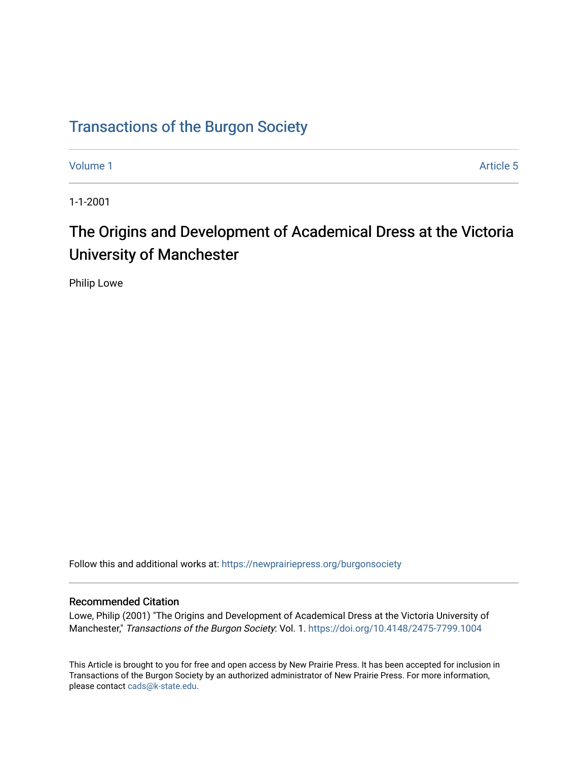# [Transactions of the Burgon Society](https://newprairiepress.org/burgonsociety)

[Volume 1](https://newprairiepress.org/burgonsociety/vol1) Article 5

1-1-2001

# The Origins and Development of Academical Dress at the Victoria University of Manchester

Philip Lowe

Follow this and additional works at: [https://newprairiepress.org/burgonsociety](https://newprairiepress.org/burgonsociety?utm_source=newprairiepress.org%2Fburgonsociety%2Fvol1%2Fiss1%2F5&utm_medium=PDF&utm_campaign=PDFCoverPages)

#### Recommended Citation

Lowe, Philip (2001) "The Origins and Development of Academical Dress at the Victoria University of Manchester," Transactions of the Burgon Society: Vol. 1. [https://doi.org/10.4148/2475-7799.1004](https://dx.doi.org/10.4148/2475-7799.1004) 

This Article is brought to you for free and open access by New Prairie Press. It has been accepted for inclusion in Transactions of the Burgon Society by an authorized administrator of New Prairie Press. For more information, please contact [cads@k-state.edu.](mailto:cads@k-state.edu)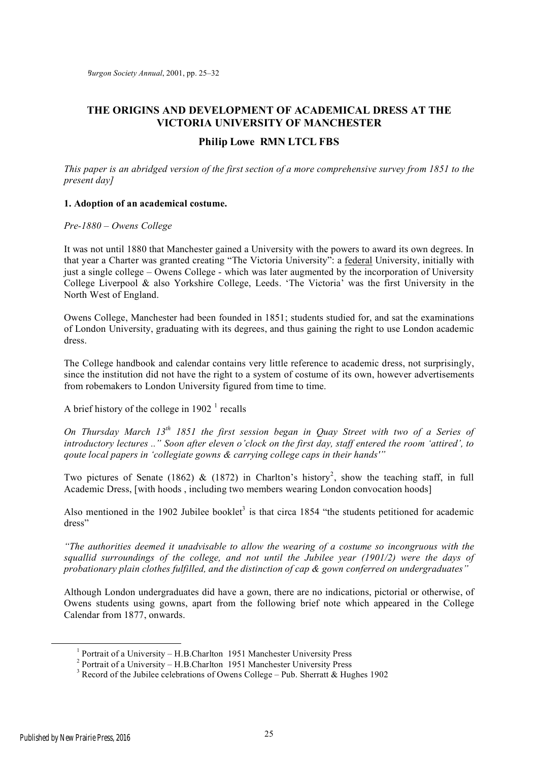## **THE ORIGINS AND DEVELOPMENT OF ACADEMICAL DRESS AT THE VICTORIA UNIVERSITY OF MANCHESTER**

### **Philip Lowe RMN LTCL FBS**

*This paper is an abridged version of the first section of a more comprehensive survey from 1851 to the present day]*

#### **1. Adoption of an academical costume.**

#### *Pre-1880 – Owens College*

It was not until 1880 that Manchester gained a University with the powers to award its own degrees. In that year a Charter was granted creating "The Victoria University": a federal University, initially with just a single college – Owens College - which was later augmented by the incorporation of University College Liverpool & also Yorkshire College, Leeds. 'The Victoria' was the first University in the North West of England.

Owens College, Manchester had been founded in 1851; students studied for, and sat the examinations of London University, graduating with its degrees, and thus gaining the right to use London academic dress.

The College handbook and calendar contains very little reference to academic dress, not surprisingly, since the institution did not have the right to a system of costume of its own, however advertisements from robemakers to London University figured from time to time.

A brief history of the college in  $1902<sup>1</sup>$  recalls

*On Thursday March 13th 1851 the first session began in Quay Street with two of a Series of introductory lectures .." Soon after eleven o'clock on the first day, staff entered the room 'attired', to qoute local papers in 'collegiate gowns & carrying college caps in their hands'"*

Two pictures of Senate (1862) & (1872) in Charlton's history<sup>2</sup>, show the teaching staff, in full Academic Dress, [with hoods , including two members wearing London convocation hoods]

Also mentioned in the 1902 Jubilee booklet<sup>3</sup> is that circa 1854 "the students petitioned for academic dress"

*"The authorities deemed it unadvisable to allow the wearing of a costume so incongruous with the squallid surroundings of the college, and not until the Jubilee year (1901/2) were the days of probationary plain clothes fulfilled, and the distinction of cap & gown conferred on undergraduates"*

Although London undergraduates did have a gown, there are no indications, pictorial or otherwise, of Owens students using gowns, apart from the following brief note which appeared in the College Calendar from 1877, onwards.

 $\frac{1}{1}$  $<sup>1</sup>$  Portrait of a University – H.B.Charlton 1951 Manchester University Press</sup>

 $2$  Portrait of a University – H.B.Charlton 1951 Manchester University Press

Record of the Jubilee celebrations of Owens College – Pub. Sherratt & Hughes 1902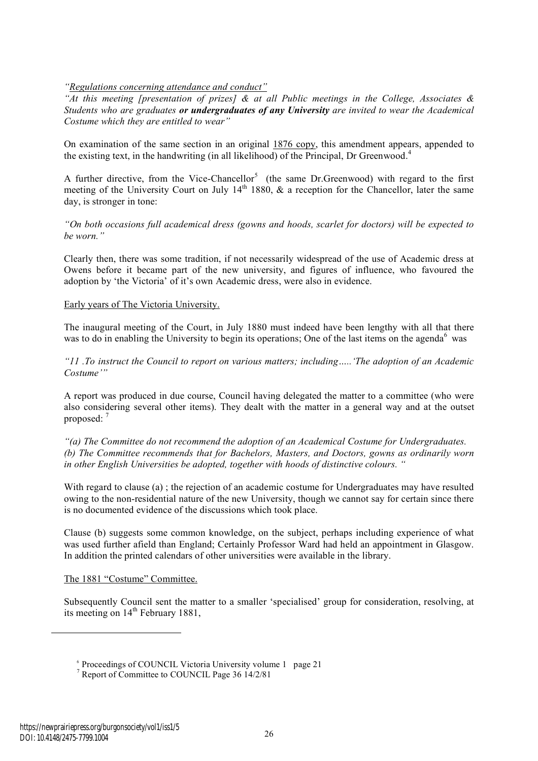*"Regulations concerning attendance and conduct"*

*"At this meeting [presentation of prizes] & at all Public meetings in the College, Associates & Students who are graduates or undergraduates of any University are invited to wear the Academical Costume which they are entitled to wear"*

On examination of the same section in an original 1876 copy, this amendment appears, appended to the existing text, in the handwriting (in all likelihood) of the Principal, Dr Greenwood.<sup>4</sup>

A further directive, from the Vice-Chancellor<sup>5</sup> (the same Dr.Greenwood) with regard to the first meeting of the University Court on July  $14<sup>th</sup> 1880$ , & a reception for the Chancellor, later the same day, is stronger in tone:

*"On both occasions full academical dress (gowns and hoods, scarlet for doctors) will be expected to be worn."*

Clearly then, there was some tradition, if not necessarily widespread of the use of Academic dress at Owens before it became part of the new university, and figures of influence, who favoured the adoption by 'the Victoria' of it's own Academic dress, were also in evidence.

#### Early years of The Victoria University.

The inaugural meeting of the Court, in July 1880 must indeed have been lengthy with all that there was to do in enabling the University to begin its operations; One of the last items on the agenda<sup>6</sup> was

*"11 .To instruct the Council to report on various matters; including…..'The adoption of an Academic Costume'"*

A report was produced in due course, Council having delegated the matter to a committee (who were also considering several other items). They dealt with the matter in a general way and at the outset proposed: 7

*"(a) The Committee do not recommend the adoption of an Academical Costume for Undergraduates. (b) The Committee recommends that for Bachelors, Masters, and Doctors, gowns as ordinarily worn in other English Universities be adopted, together with hoods of distinctive colours. "*

With regard to clause (a) ; the rejection of an academic costume for Undergraduates may have resulted owing to the non-residential nature of the new University, though we cannot say for certain since there is no documented evidence of the discussions which took place.

Clause (b) suggests some common knowledge, on the subject, perhaps including experience of what was used further afield than England; Certainly Professor Ward had held an appointment in Glasgow. In addition the printed calendars of other universities were available in the library.

#### The 1881 "Costume" Committee.

Subsequently Council sent the matter to a smaller 'specialised' group for consideration, resolving, at its meeting on  $14<sup>th</sup>$  February 1881,

 $\overline{a}$ 

<sup>6</sup> Proceedings of COUNCIL Victoria University volume 1 page 21

<sup>&</sup>lt;sup>7</sup> Report of Committee to COUNCIL Page 36 14/2/81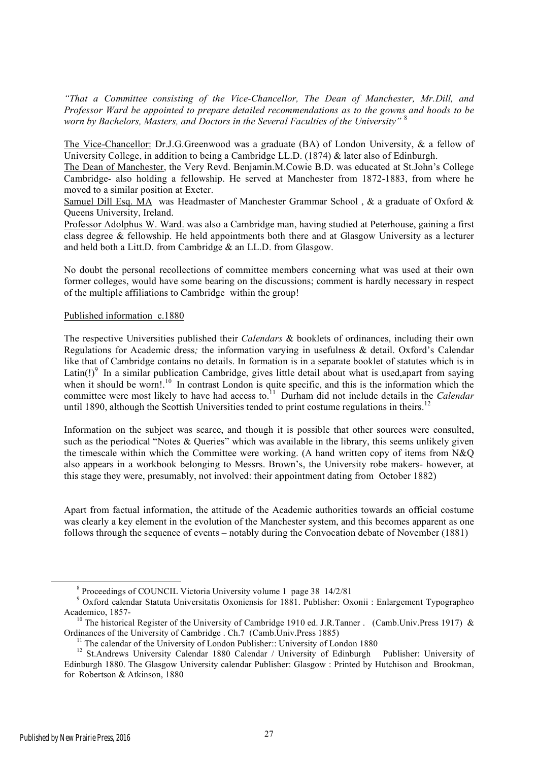*"That a Committee consisting of the Vice-Chancellor, The Dean of Manchester, Mr.Dill, and Professor Ward be appointed to prepare detailed recommendations as to the gowns and hoods to be worn by Bachelors, Masters, and Doctors in the Several Faculties of the University"* <sup>8</sup>

The Vice-Chancellor: Dr.J.G.Greenwood was a graduate (BA) of London University, & a fellow of University College, in addition to being a Cambridge LL.D. (1874) & later also of Edinburgh.

The Dean of Manchester, the Very Revd. Benjamin.M.Cowie B.D. was educated at St.John's College Cambridge- also holding a fellowship. He served at Manchester from 1872-1883, from where he moved to a similar position at Exeter.

Samuel Dill Esq. MA was Headmaster of Manchester Grammar School , & a graduate of Oxford & Queens University, Ireland.

Professor Adolphus W. Ward. was also a Cambridge man, having studied at Peterhouse, gaining a first class degree & fellowship. He held appointments both there and at Glasgow University as a lecturer and held both a Litt.D. from Cambridge & an LL.D. from Glasgow.

No doubt the personal recollections of committee members concerning what was used at their own former colleges, would have some bearing on the discussions; comment is hardly necessary in respect of the multiple affiliations to Cambridge within the group!

#### Published information c.1880

The respective Universities published their *Calendars* & booklets of ordinances, including their own Regulations for Academic dress*;* the information varying in usefulness & detail. Oxford's Calendar like that of Cambridge contains no details. In formation is in a separate booklet of statutes which is in Latin(!)<sup>9</sup> In a similar publication Cambridge, gives little detail about what is used, apart from saying when it should be worn!.<sup>10</sup> In contrast London is quite specific, and this is the information which the committee were most likely to have had access to.<sup>11</sup> Durham did not include details in the *Calendar* until 1890, although the Scottish Universities tended to print costume regulations in theirs.<sup>12</sup>

Information on the subject was scarce, and though it is possible that other sources were consulted, such as the periodical "Notes & Queries" which was available in the library, this seems unlikely given the timescale within which the Committee were working. (A hand written copy of items from N&Q also appears in a workbook belonging to Messrs. Brown's, the University robe makers- however, at this stage they were, presumably, not involved: their appointment dating from October 1882)

Apart from factual information, the attitude of the Academic authorities towards an official costume was clearly a key element in the evolution of the Manchester system, and this becomes apparent as one follows through the sequence of events – notably during the Convocation debate of November (1881)

 $\frac{1}{8}$ <sup>8</sup> Proceedings of COUNCIL Victoria University volume 1 page 38 14/2/81

<sup>&</sup>lt;sup>9</sup> Oxford calendar Statuta Universitatis Oxoniensis for 1881. Publisher: Oxonii : Enlargement Typographeo Academico, 1857-

<sup>&</sup>lt;sup>10</sup> The historical Register of the University of Cambridge 1910 ed. J.R.Tanner . (Camb.Univ.Press 1917) & Ordinances of the University of Cambridge . Ch.7 (Camb.Univ.Press 1885)

<sup>&</sup>lt;sup>11</sup> The calendar of the University of London Publisher:: University of London 1880<br><sup>12</sup> St.Andrews University Calendar 1880 Calendar / University of Edinburgh Publisher: University of Edinburgh 1880. The Glasgow University calendar Publisher: Glasgow : Printed by Hutchison and Brookman, for Robertson & Atkinson, 1880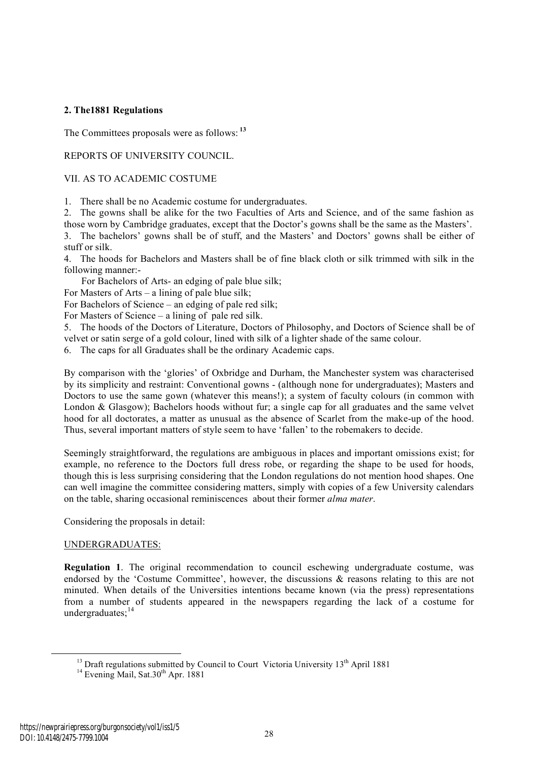#### **2. The1881 Regulations**

The Committees proposals were as follows: **<sup>13</sup>**

#### REPORTS OF UNIVERSITY COUNCIL.

#### VII. AS TO ACADEMIC COSTUME

1. There shall be no Academic costume for undergraduates.

2. The gowns shall be alike for the two Faculties of Arts and Science, and of the same fashion as those worn by Cambridge graduates, except that the Doctor's gowns shall be the same as the Masters'.

3. The bachelors' gowns shall be of stuff, and the Masters' and Doctors' gowns shall be either of stuff or silk.

4. The hoods for Bachelors and Masters shall be of fine black cloth or silk trimmed with silk in the following manner:-

For Bachelors of Arts- an edging of pale blue silk;

For Masters of Arts – a lining of pale blue silk;

For Bachelors of Science – an edging of pale red silk;

For Masters of Science – a lining of pale red silk.

5. The hoods of the Doctors of Literature, Doctors of Philosophy, and Doctors of Science shall be of velvet or satin serge of a gold colour, lined with silk of a lighter shade of the same colour.

6. The caps for all Graduates shall be the ordinary Academic caps.

By comparison with the 'glories' of Oxbridge and Durham, the Manchester system was characterised by its simplicity and restraint: Conventional gowns - (although none for undergraduates); Masters and Doctors to use the same gown (whatever this means!); a system of faculty colours (in common with London & Glasgow); Bachelors hoods without fur; a single cap for all graduates and the same velvet hood for all doctorates, a matter as unusual as the absence of Scarlet from the make-up of the hood. Thus, several important matters of style seem to have 'fallen' to the robemakers to decide.

Seemingly straightforward, the regulations are ambiguous in places and important omissions exist; for example, no reference to the Doctors full dress robe, or regarding the shape to be used for hoods, though this is less surprising considering that the London regulations do not mention hood shapes. One can well imagine the committee considering matters, simply with copies of a few University calendars on the table, sharing occasional reminiscences about their former *alma mater*.

Considering the proposals in detail:

#### UNDERGRADUATES:

**Regulation 1**. The original recommendation to council eschewing undergraduate costume, was endorsed by the 'Costume Committee', however, the discussions & reasons relating to this are not minuted. When details of the Universities intentions became known (via the press) representations from a number of students appeared in the newspapers regarding the lack of a costume for undergraduates:<sup>14</sup>

<sup>&</sup>lt;sup>13</sup> Draft regulations submitted by Council to Court Victoria University 13<sup>th</sup> April 1881<sup>14</sup> Evening Mail, Sat.30<sup>th</sup> Apr. 1881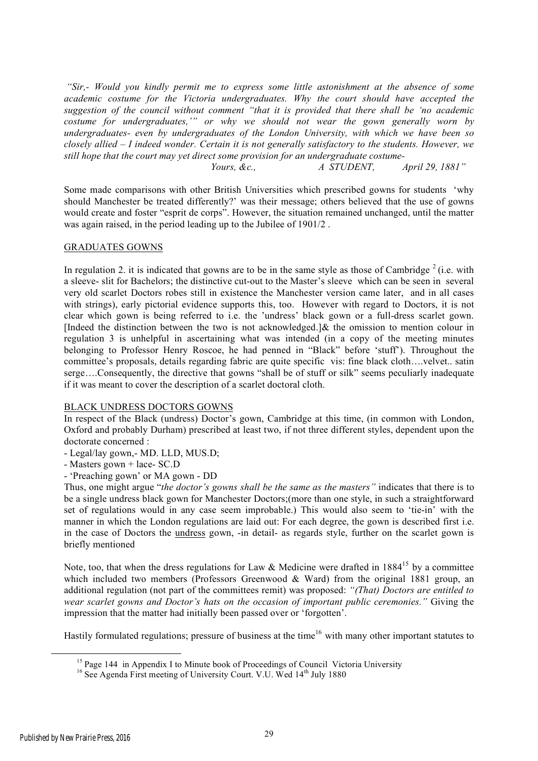*"Sir,- Would you kindly permit me to express some little astonishment at the absence of some academic costume for the Victoria undergraduates. Why the court should have accepted the suggestion of the council without comment "that it is provided that there shall be 'no academic costume for undergraduates,'" or why we should not wear the gown generally worn by undergraduates- even by undergraduates of the London University, with which we have been so closely allied – I indeed wonder. Certain it is not generally satisfactory to the students. However, we still hope that the court may yet direct some provision for an undergraduate costume- Yours, &c., A STUDENT, April 29, 1881"*

Some made comparisons with other British Universities which prescribed gowns for students 'why should Manchester be treated differently?' was their message; others believed that the use of gowns would create and foster "esprit de corps". However, the situation remained unchanged, until the matter was again raised, in the period leading up to the Jubilee of 1901/2 .

#### GRADUATES GOWNS

In regulation 2. it is indicated that gowns are to be in the same style as those of Cambridge  $2$  (i.e. with a sleeve- slit for Bachelors; the distinctive cut-out to the Master's sleeve which can be seen in several very old scarlet Doctors robes still in existence the Manchester version came later, and in all cases with strings), early pictorial evidence supports this, too. However with regard to Doctors, it is not clear which gown is being referred to i.e. the 'undress' black gown or a full-dress scarlet gown. [Indeed the distinction between the two is not acknowledged.]  $\&$  the omission to mention colour in regulation 3 is unhelpful in ascertaining what was intended (in a copy of the meeting minutes belonging to Professor Henry Roscoe, he had penned in "Black" before 'stuff'). Throughout the committee's proposals, details regarding fabric are quite specific vis: fine black cloth….velvet.. satin serge….Consequently, the directive that gowns "shall be of stuff or silk" seems peculiarly inadequate if it was meant to cover the description of a scarlet doctoral cloth.

#### BLACK UNDRESS DOCTORS GOWNS

In respect of the Black (undress) Doctor's gown, Cambridge at this time, (in common with London, Oxford and probably Durham) prescribed at least two, if not three different styles, dependent upon the doctorate concerned :

- Legal/lay gown,- MD. LLD, MUS.D;

- Masters gown + lace- SC.D

- 'Preaching gown' or MA gown - DD

Thus, one might argue "*the doctor's gowns shall be the same as the masters"* indicates that there is to be a single undress black gown for Manchester Doctors;(more than one style, in such a straightforward set of regulations would in any case seem improbable.) This would also seem to 'tie-in' with the manner in which the London regulations are laid out: For each degree, the gown is described first i.e. in the case of Doctors the undress gown, -in detail- as regards style, further on the scarlet gown is briefly mentioned

Note, too, that when the dress regulations for Law & Medicine were drafted in  $1884^{15}$  by a committee which included two members (Professors Greenwood  $& Ward$ ) from the original 1881 group, an additional regulation (not part of the committees remit) was proposed: *"(That) Doctors are entitled to wear scarlet gowns and Doctor's hats on the occasion of important public ceremonies."* Giving the impression that the matter had initially been passed over or 'forgotten'.

Hastily formulated regulations; pressure of business at the time<sup>16</sup> with many other important statutes to

<sup>&</sup>lt;sup>15</sup> Page 144 in Appendix I to Minute book of Proceedings of Council Victoria University 16 See Agenda First meeting of University Court. V.U. Wed  $14<sup>th</sup>$  July 1880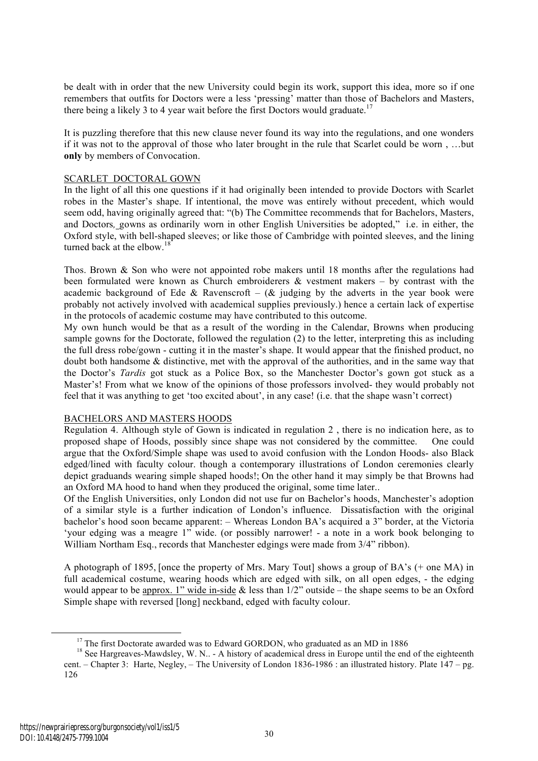be dealt with in order that the new University could begin its work, support this idea, more so if one remembers that outfits for Doctors were a less 'pressing' matter than those of Bachelors and Masters, there being a likely 3 to 4 year wait before the first Doctors would graduate.<sup>17</sup>

It is puzzling therefore that this new clause never found its way into the regulations, and one wonders if it was not to the approval of those who later brought in the rule that Scarlet could be worn , …but **only** by members of Convocation.

#### SCARLET DOCTORAL GOWN

In the light of all this one questions if it had originally been intended to provide Doctors with Scarlet robes in the Master's shape. If intentional, the move was entirely without precedent, which would seem odd, having originally agreed that: "(b) The Committee recommends that for Bachelors, Masters, and Doctors*,* gowns as ordinarily worn in other English Universities be adopted," i.e. in either, the Oxford style, with bell-shaped sleeves; or like those of Cambridge with pointed sleeves, and the lining turned back at the elbow.<sup>18</sup>

Thos. Brown & Son who were not appointed robe makers until 18 months after the regulations had been formulated were known as Church embroiderers  $\&$  vestment makers – by contrast with the academic background of Ede & Ravenscroft – ( $\&$  judging by the adverts in the year book were probably not actively involved with academical supplies previously.) hence a certain lack of expertise in the protocols of academic costume may have contributed to this outcome.

My own hunch would be that as a result of the wording in the Calendar, Browns when producing sample gowns for the Doctorate, followed the regulation (2) to the letter, interpreting this as including the full dress robe/gown - cutting it in the master's shape. It would appear that the finished product, no doubt both handsome & distinctive, met with the approval of the authorities, and in the same way that the Doctor's *Tardis* got stuck as a Police Box, so the Manchester Doctor's gown got stuck as a Master's! From what we know of the opinions of those professors involved- they would probably not feel that it was anything to get 'too excited about', in any case! (i.e. that the shape wasn't correct)

#### BACHELORS AND MASTERS HOODS

Regulation 4. Although style of Gown is indicated in regulation 2 , there is no indication here, as to proposed shape of Hoods, possibly since shape was not considered by the committee. One could argue that the Oxford/Simple shape was used to avoid confusion with the London Hoods- also Black edged/lined with faculty colour. though a contemporary illustrations of London ceremonies clearly depict graduands wearing simple shaped hoods!; On the other hand it may simply be that Browns had an Oxford MA hood to hand when they produced the original, some time later..

Of the English Universities, only London did not use fur on Bachelor's hoods, Manchester's adoption of a similar style is a further indication of London's influence. Dissatisfaction with the original bachelor's hood soon became apparent: – Whereas London BA's acquired a 3" border, at the Victoria 'your edging was a meagre 1" wide. (or possibly narrower! - a note in a work book belonging to William Northam Esq., records that Manchester edgings were made from 3/4" ribbon).

A photograph of 1895, [once the property of Mrs. Mary Tout] shows a group of BA's (+ one MA) in full academical costume, wearing hoods which are edged with silk, on all open edges, - the edging would appear to be approx. 1" wide in-side & less than  $1/2$ " outside – the shape seems to be an Oxford Simple shape with reversed [long] neckband, edged with faculty colour.

<sup>&</sup>lt;sup>17</sup> The first Doctorate awarded was to Edward GORDON, who graduated as an MD in 1886

<sup>&</sup>lt;sup>18</sup> See Hargreaves-Mawdsley, W. N.. - A history of academical dress in Europe until the end of the eighteenth cent. – Chapter 3: Harte, Negley, – The University of London 1836-1986 : an illustrated history. Plate 147 – pg. 126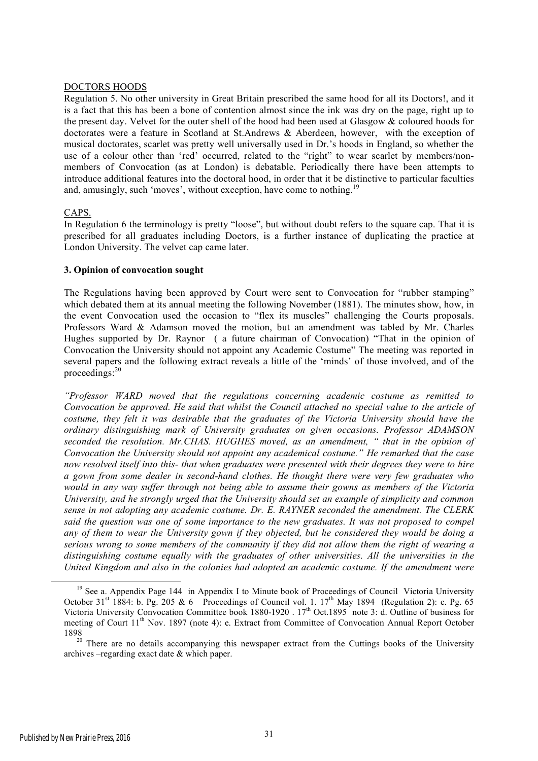#### DOCTORS HOODS

Regulation 5. No other university in Great Britain prescribed the same hood for all its Doctors!, and it is a fact that this has been a bone of contention almost since the ink was dry on the page, right up to the present day. Velvet for the outer shell of the hood had been used at Glasgow & coloured hoods for doctorates were a feature in Scotland at St.Andrews & Aberdeen, however, with the exception of musical doctorates, scarlet was pretty well universally used in Dr.'s hoods in England, so whether the use of a colour other than 'red' occurred, related to the "right" to wear scarlet by members/nonmembers of Convocation (as at London) is debatable. Periodically there have been attempts to introduce additional features into the doctoral hood, in order that it be distinctive to particular faculties and, amusingly, such 'moves', without exception, have come to nothing.<sup>19</sup>

#### CAPS.

In Regulation 6 the terminology is pretty "loose", but without doubt refers to the square cap. That it is prescribed for all graduates including Doctors, is a further instance of duplicating the practice at London University. The velvet cap came later.

#### **3. Opinion of convocation sought**

The Regulations having been approved by Court were sent to Convocation for "rubber stamping" which debated them at its annual meeting the following November (1881). The minutes show, how, in the event Convocation used the occasion to "flex its muscles" challenging the Courts proposals. Professors Ward & Adamson moved the motion, but an amendment was tabled by Mr. Charles Hughes supported by Dr. Raynor ( a future chairman of Convocation) "That in the opinion of Convocation the University should not appoint any Academic Costume" The meeting was reported in several papers and the following extract reveals a little of the 'minds' of those involved, and of the proceedings:<sup>20</sup>

*"Professor WARD moved that the regulations concerning academic costume as remitted to Convocation be approved. He said that whilst the Council attached no special value to the article of costume, they felt it was desirable that the graduates of the Victoria University should have the ordinary distinguishing mark of University graduates on given occasions. Professor ADAMSON seconded the resolution. Mr.CHAS. HUGHES moved, as an amendment, " that in the opinion of Convocation the University should not appoint any academical costume." He remarked that the case now resolved itself into this- that when graduates were presented with their degrees they were to hire a gown from some dealer in second-hand clothes. He thought there were very few graduates who would in any way suffer through not being able to assume their gowns as members of the Victoria University, and he strongly urged that the University should set an example of simplicity and common sense in not adopting any academic costume. Dr. E. RAYNER seconded the amendment. The CLERK said the question was one of some importance to the new graduates. It was not proposed to compel any of them to wear the University gown if they objected, but he considered they would be doing a serious wrong to some members of the community if they did not allow them the right of wearing a distinguishing costume equally with the graduates of other universities. All the universities in the United Kingdom and also in the colonies had adopted an academic costume. If the amendment were* 

<sup>&</sup>lt;sup>19</sup> See a. Appendix Page 144 in Appendix I to Minute book of Proceedings of Council Victoria University October 31<sup>st</sup> 1884: b. Pg. 205 & 6 Proceedings of Council vol. 1.  $17^{th}$  May 1894 (Regulation 2): c. Pg. 65 Victoria University Convocation Committee book 1880-1920 . 17<sup>th</sup> Oct.1895 note 3: d. Outline of business for meeting of Court 11<sup>th</sup> Nov. 1897 (note 4): e. Extract from Committee of Convocation Annual Report October

<sup>1898&</sup>lt;br><sup>20</sup> There are no details accompanying this newspaper extract from the Cuttings books of the University archives –regarding exact date & which paper.